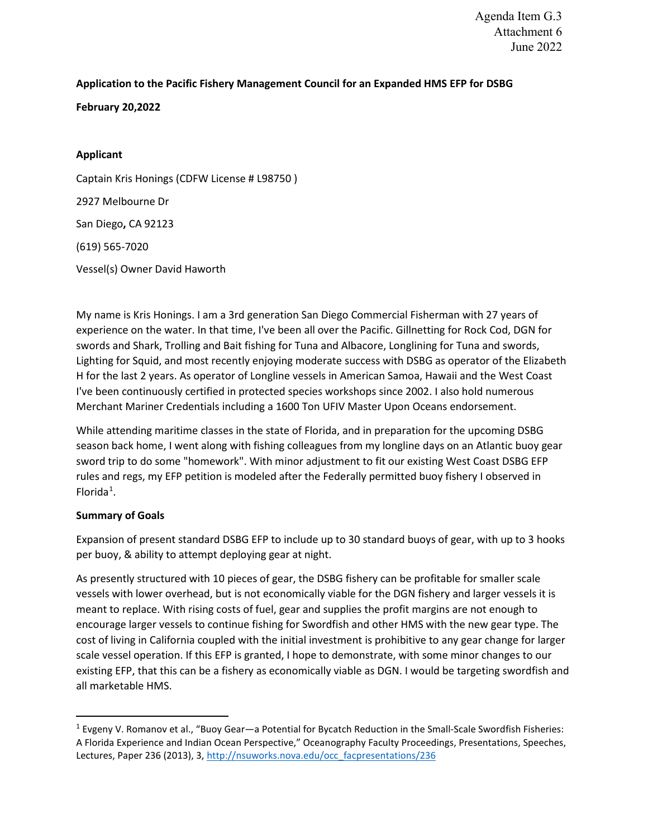# **Application to the Pacific Fishery Management Council for an Expanded HMS EFP for DSBG**

**February 20,2022**

# **Applicant**

Captain Kris Honings (CDFW License # L98750 ) 2927 Melbourne Dr San Diego**,** CA 92123 (619) 565-7020 Vessel(s) Owner David Haworth

My name is Kris Honings. I am a 3rd generation San Diego Commercial Fisherman with 27 years of experience on the water. In that time, I've been all over the Pacific. Gillnetting for Rock Cod, DGN for swords and Shark, Trolling and Bait fishing for Tuna and Albacore, Longlining for Tuna and swords, Lighting for Squid, and most recently enjoying moderate success with DSBG as operator of the Elizabeth H for the last 2 years. As operator of Longline vessels in American Samoa, Hawaii and the West Coast I've been continuously certified in protected species workshops since 2002. I also hold numerous Merchant Mariner Credentials including a 1600 Ton UFIV Master Upon Oceans endorsement.

While attending maritime classes in the state of Florida, and in preparation for the upcoming DSBG season back home, I went along with fishing colleagues from my longline days on an Atlantic buoy gear sword trip to do some "homework". With minor adjustment to fit our existing West Coast DSBG EFP rules and regs, my EFP petition is modeled after the Federally permitted buoy fishery I observed in Florida<sup>[1](#page-0-0)</sup>.

# **Summary of Goals**

Expansion of present standard DSBG EFP to include up to 30 standard buoys of gear, with up to 3 hooks per buoy, & ability to attempt deploying gear at night.

As presently structured with 10 pieces of gear, the DSBG fishery can be profitable for smaller scale vessels with lower overhead, but is not economically viable for the DGN fishery and larger vessels it is meant to replace. With rising costs of fuel, gear and supplies the profit margins are not enough to encourage larger vessels to continue fishing for Swordfish and other HMS with the new gear type. The cost of living in California coupled with the initial investment is prohibitive to any gear change for larger scale vessel operation. If this EFP is granted, I hope to demonstrate, with some minor changes to our existing EFP, that this can be a fishery as economically viable as DGN. I would be targeting swordfish and all marketable HMS.

<span id="page-0-0"></span><sup>1</sup> Evgeny V. Romanov et al., "Buoy Gear—a Potential for Bycatch Reduction in the Small-Scale Swordfish Fisheries: A Florida Experience and Indian Ocean Perspective," Oceanography Faculty Proceedings, Presentations, Speeches, Lectures, Paper 236 (2013), 3[, http://nsuworks.nova.edu/occ\\_facpresentations/236](http://nsuworks.nova.edu/occ_facpresentations/236)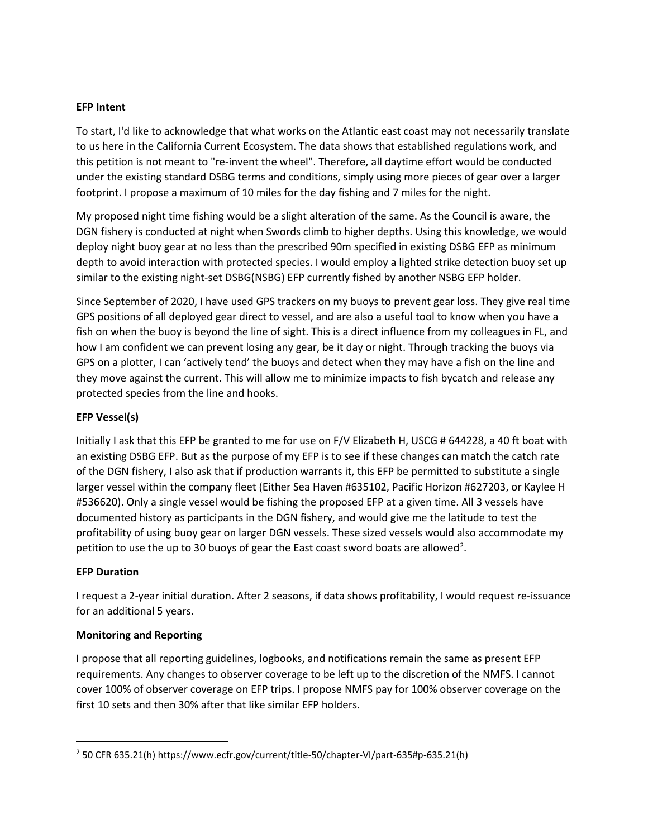### **EFP Intent**

To start, I'd like to acknowledge that what works on the Atlantic east coast may not necessarily translate to us here in the California Current Ecosystem. The data shows that established regulations work, and this petition is not meant to "re-invent the wheel". Therefore, all daytime effort would be conducted under the existing standard DSBG terms and conditions, simply using more pieces of gear over a larger footprint. I propose a maximum of 10 miles for the day fishing and 7 miles for the night.

My proposed night time fishing would be a slight alteration of the same. As the Council is aware, the DGN fishery is conducted at night when Swords climb to higher depths. Using this knowledge, we would deploy night buoy gear at no less than the prescribed 90m specified in existing DSBG EFP as minimum depth to avoid interaction with protected species. I would employ a lighted strike detection buoy set up similar to the existing night-set DSBG(NSBG) EFP currently fished by another NSBG EFP holder.

Since September of 2020, I have used GPS trackers on my buoys to prevent gear loss. They give real time GPS positions of all deployed gear direct to vessel, and are also a useful tool to know when you have a fish on when the buoy is beyond the line of sight. This is a direct influence from my colleagues in FL, and how I am confident we can prevent losing any gear, be it day or night. Through tracking the buoys via GPS on a plotter, I can 'actively tend' the buoys and detect when they may have a fish on the line and they move against the current. This will allow me to minimize impacts to fish bycatch and release any protected species from the line and hooks.

# **EFP Vessel(s)**

Initially I ask that this EFP be granted to me for use on F/V Elizabeth H, USCG # 644228, a 40 ft boat with an existing DSBG EFP. But as the purpose of my EFP is to see if these changes can match the catch rate of the DGN fishery, I also ask that if production warrants it, this EFP be permitted to substitute a single larger vessel within the company fleet (Either Sea Haven #635102, Pacific Horizon #627203, or Kaylee H #536620). Only a single vessel would be fishing the proposed EFP at a given time. All 3 vessels have documented history as participants in the DGN fishery, and would give me the latitude to test the profitability of using buoy gear on larger DGN vessels. These sized vessels would also accommodate my petition to use the up to 30 buoys of gear the East coast sword boats are allowed<sup>[2](#page-1-0)</sup>.

### **EFP Duration**

I request a 2-year initial duration. After 2 seasons, if data shows profitability, I would request re-issuance for an additional 5 years.

### **Monitoring and Reporting**

I propose that all reporting guidelines, logbooks, and notifications remain the same as present EFP requirements. Any changes to observer coverage to be left up to the discretion of the NMFS. I cannot cover 100% of observer coverage on EFP trips. I propose NMFS pay for 100% observer coverage on the first 10 sets and then 30% after that like similar EFP holders.

<span id="page-1-0"></span><sup>2</sup> 50 CFR 635.21(h) https://www.ecfr.gov/current/title-50/chapter-VI/part-635#p-635.21(h)